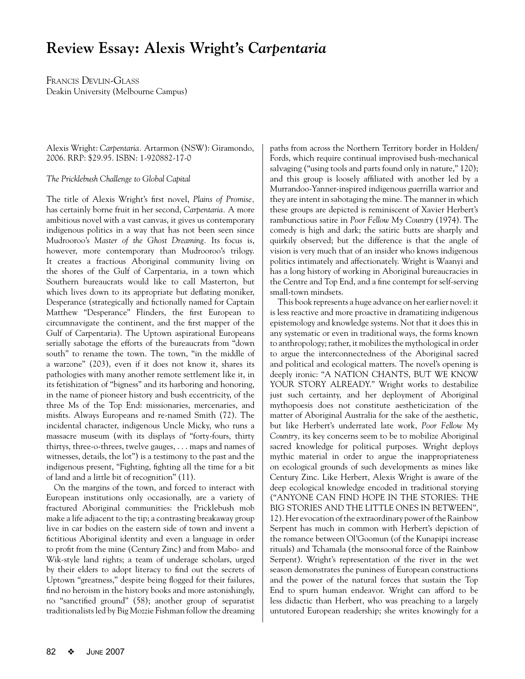## **Review Essay: Alexis Wright's** *Carpentaria*

FRANCIS DEVLIN-GLASS Deakin University (Melbourne Campus)

Alexis Wright: *Carpentaria.* Artarmon (NSW): Giramondo, 2006. RRP: \$29.95. ISBN: 1-920882-17-0

*The Pricklebush Challenge to Global Capital*

The title of Alexis Wright's first novel, *Plains of Promise,*  has certainly borne fruit in her second, *Carpentaria.* A more ambitious novel with a vast canvas, it gives us contemporary indigenous politics in a way that has not been seen since Mudrooroo's *Master of the Ghost Dreaming.* Its focus is, however, more contemporary than Mudrooroo's trilogy. It creates a fractious Aboriginal community living on the shores of the Gulf of Carpentaria, in a town which Southern bureaucrats would like to call Masterton, but which lives down to its appropriate but deflating moniker, Desperance (strategically and fictionally named for Captain Matthew "Desperance" Flinders, the first European to circumnavigate the continent, and the first mapper of the Gulf of Carpentaria). The Uptown aspirational Europeans serially sabotage the efforts of the bureaucrats from "down south" to rename the town. The town, "in the middle of a warzone" (203), even if it does not know it, shares its pathologies with many another remote settlement like it, in its fetishization of "bigness" and its harboring and honoring, in the name of pioneer history and bush eccentricity, of the three Ms of the Top End: missionaries, mercenaries, and misfits. Always Europeans and re-named Smith (72). The incidental character, indigenous Uncle Micky, who runs a massacre museum (with its displays of "forty-fours, thirty thirtys, three-o-threes, twelve gauges, . . . maps and names of witnesses, details, the lot") is a testimony to the past and the indigenous present, "Fighting, fighting all the time for a bit of land and a little bit of recognition" (11).

On the margins of the town, and forced to interact with European institutions only occasionally, are a variety of fractured Aboriginal communities: the Pricklebush mob make a life adjacent to the tip; a contrasting breakaway group live in car bodies on the eastern side of town and invent a fictitious Aboriginal identity and even a language in order to profit from the mine (Century Zinc) and from Mabo- and Wik-style land rights; a team of underage scholars, urged by their elders to adopt literacy to find out the secrets of Uptown "greatness," despite being flogged for their failures, find no heroism in the history books and more astonishingly, no "sanctified ground" (58); another group of separatist traditionalists led by Big Mozzie Fishman follow the dreaming paths from across the Northern Territory border in Holden/ Fords, which require continual improvised bush-mechanical salvaging ("using tools and parts found only in nature," 120); and this group is loosely affiliated with another led by a Murrandoo-Yanner-inspired indigenous guerrilla warrior and they are intent in sabotaging the mine. The manner in which these groups are depicted is reminiscent of Xavier Herbert's rambunctious satire in *Poor Fellow My Country* (1974). The comedy is high and dark; the satiric butts are sharply and quirkily observed; but the difference is that the angle of vision is very much that of an insider who knows indigenous politics intimately and affectionately. Wright is Waanyi and has a long history of working in Aboriginal bureaucracies in the Centre and Top End, and a fine contempt for self-serving small-town mindsets.

This book represents a huge advance on her earlier novel: it is less reactive and more proactive in dramatizing indigenous epistemology and knowledge systems. Not that it does this in any systematic or even in traditional ways, the forms known to anthropology; rather, it mobilizes the mythological in order to argue the interconnectedness of the Aboriginal sacred and political and ecological matters. The novel's opening is deeply ironic: "A NATION CHANTS, BUT WE KNOW YOUR STORY ALREADY." Wright works to destabilize just such certainty, and her deployment of Aboriginal mythopoesis does not constitute aestheticization of the matter of Aboriginal Australia for the sake of the aesthetic, but like Herbert's underrated late work, *Poor Fellow My Country,* its key concerns seem to be to mobilize Aboriginal sacred knowledge for political purposes. Wright deploys mythic material in order to argue the inappropriateness on ecological grounds of such developments as mines like Century Zinc. Like Herbert, Alexis Wright is aware of the deep ecological knowledge encoded in traditional storying ("ANYONE CAN FIND HOPE IN THE STORIES: THE BIG STORIES AND THE LITTLE ONES IN BETWEEN", 12). Her evocation of the extraordinary power of the Rainbow Serpent has much in common with Herbert's depiction of the romance between Ol'Goomun (of the Kunapipi increase rituals) and Tchamala (the monsoonal force of the Rainbow Serpent). Wright's representation of the river in the wet season demonstrates the puniness of European constructions and the power of the natural forces that sustain the Top End to spurn human endeavor. Wright can afford to be less didactic than Herbert, who was preaching to a largely untutored European readership; she writes knowingly for a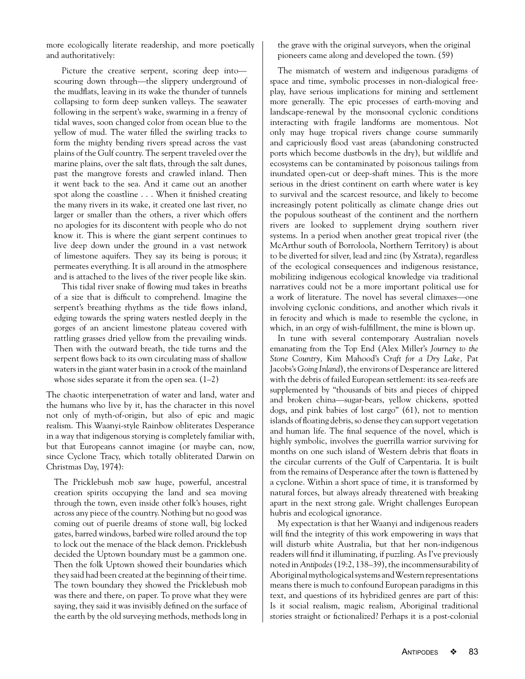more ecologically literate readership, and more poetically and authoritatively:

Picture the creative serpent, scoring deep into scouring down through—the slippery underground of the mudflats, leaving in its wake the thunder of tunnels collapsing to form deep sunken valleys. The seawater following in the serpent's wake, swarming in a frenzy of tidal waves, soon changed color from ocean blue to the yellow of mud. The water filled the swirling tracks to form the mighty bending rivers spread across the vast plains of the Gulf country. The serpent traveled over the marine plains, over the salt flats, through the salt dunes, past the mangrove forests and crawled inland. Then it went back to the sea. And it came out an another spot along the coastline . . . When it finished creating the many rivers in its wake, it created one last river, no larger or smaller than the others, a river which offers no apologies for its discontent with people who do not know it. This is where the giant serpent continues to live deep down under the ground in a vast network of limestone aquifers. They say its being is porous; it permeates everything. It is all around in the atmosphere and is attached to the lives of the river people like skin.

This tidal river snake of flowing mud takes in breaths of a size that is difficult to comprehend. Imagine the serpent's breathing rhythms as the tide flows inland, edging towards the spring waters nestled deeply in the gorges of an ancient limestone plateau covered with rattling grasses dried yellow from the prevailing winds. Then with the outward breath, the tide turns and the serpent flows back to its own circulating mass of shallow waters in the giant water basin in a crook of the mainland whose sides separate it from the open sea.  $(1-2)$ 

The chaotic interpenetration of water and land, water and the humans who live by it, has the character in this novel not only of myth-of-origin, but also of epic and magic realism. This Waanyi-style Rainbow obliterates Desperance in a way that indigenous storying is completely familiar with, but that Europeans cannot imagine (or maybe can, now, since Cyclone Tracy, which totally obliterated Darwin on Christmas Day, 1974):

The Pricklebush mob saw huge, powerful, ancestral creation spirits occupying the land and sea moving through the town, even inside other folk's houses, right across any piece of the country. Nothing but no good was coming out of puerile dreams of stone wall, big locked gates, barred windows, barbed wire rolled around the top to lock out the menace of the black demon. Pricklebush decided the Uptown boundary must be a gammon one. Then the folk Uptown showed their boundaries which they said had been created at the beginning of their time. The town boundary they showed the Pricklebush mob was there and there, on paper. To prove what they were saying, they said it was invisibly defined on the surface of the earth by the old surveying methods, methods long in

the grave with the original surveyors, when the original pioneers came along and developed the town. (59)

The mismatch of western and indigenous paradigms of space and time, symbolic processes in non-dialogical freeplay, have serious implications for mining and settlement more generally. The epic processes of earth-moving and landscape-renewal by the monsoonal cyclonic conditions interacting with fragile landforms are momentous. Not only may huge tropical rivers change course summarily and capriciously flood vast areas (abandoning constructed ports which become dustbowls in the dry), but wildlife and ecosystems can be contaminated by poisonous tailings from inundated open-cut or deep-shaft mines. This is the more serious in the driest continent on earth where water is key to survival and the scarcest resource, and likely to become increasingly potent politically as climate change dries out the populous southeast of the continent and the northern rivers are looked to supplement drying southern river systems. In a period when another great tropical river (the McArthur south of Borroloola, Northern Territory) is about to be diverted for silver, lead and zinc (by Xstrata), regardless of the ecological consequences and indigenous resistance, mobilizing indigenous ecological knowledge via traditional narratives could not be a more important political use for a work of literature. The novel has several climaxes—one involving cyclonic conditions, and another which rivals it in ferocity and which is made to resemble the cyclone, in which, in an orgy of wish-fulfillment, the mine is blown up.

In tune with several contemporary Australian novels emanating from the Top End (Alex Miller's *Journey to the Stone Country,* Kim Mahood's *Craft for a Dry Lake,* Pat Jacobs's *Going Inland*), the environs of Desperance are littered with the debris of failed European settlement: its sea-reefs are supplemented by "thousands of bits and pieces of chipped and broken china—sugar-bears, yellow chickens, spotted dogs, and pink babies of lost cargo" (61), not to mention islands of floating debris, so dense they can support vegetation and human life. The final sequence of the novel, which is highly symbolic, involves the guerrilla warrior surviving for months on one such island of Western debris that floats in the circular currents of the Gulf of Carpentaria. It is built from the remains of Desperance after the town is flattened by a cyclone. Within a short space of time, it is transformed by natural forces, but always already threatened with breaking apart in the next strong gale. Wright challenges European hubris and ecological ignorance.

My expectation is that her Waanyi and indigenous readers will find the integrity of this work empowering in ways that will disturb white Australia, but that her non-indigenous readers will find it illuminating, if puzzling. As I've previously noted in *Antipodes*(19:2, 138–39), the incommensurability of Aboriginal mythological systems and Western representations means there is much to confound European paradigms in this text, and questions of its hybridized genres are part of this: Is it social realism, magic realism, Aboriginal traditional stories straight or fictionalized? Perhaps it is a post-colonial